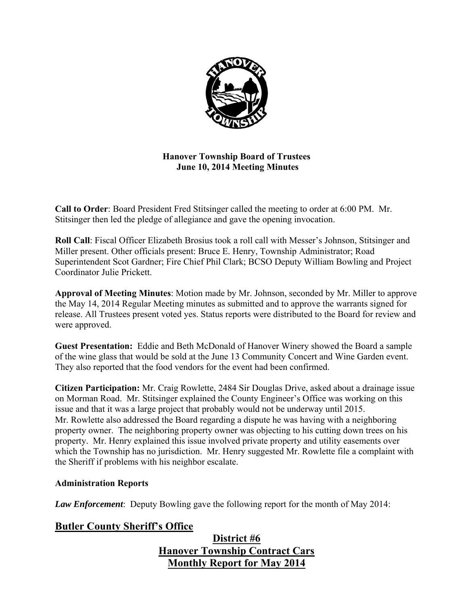

**Hanover Township Board of Trustees June 10, 2014 Meeting Minutes** 

**Call to Order**: Board President Fred Stitsinger called the meeting to order at 6:00 PM. Mr. Stitsinger then led the pledge of allegiance and gave the opening invocation.

**Roll Call**: Fiscal Officer Elizabeth Brosius took a roll call with Messer's Johnson, Stitsinger and Miller present. Other officials present: Bruce E. Henry, Township Administrator; Road Superintendent Scot Gardner; Fire Chief Phil Clark; BCSO Deputy William Bowling and Project Coordinator Julie Prickett.

**Approval of Meeting Minutes**: Motion made by Mr. Johnson, seconded by Mr. Miller to approve the May 14, 2014 Regular Meeting minutes as submitted and to approve the warrants signed for release. All Trustees present voted yes. Status reports were distributed to the Board for review and were approved.

**Guest Presentation:** Eddie and Beth McDonald of Hanover Winery showed the Board a sample of the wine glass that would be sold at the June 13 Community Concert and Wine Garden event. They also reported that the food vendors for the event had been confirmed.

**Citizen Participation:** Mr. Craig Rowlette, 2484 Sir Douglas Drive, asked about a drainage issue on Morman Road. Mr. Stitsinger explained the County Engineer's Office was working on this issue and that it was a large project that probably would not be underway until 2015. Mr. Rowlette also addressed the Board regarding a dispute he was having with a neighboring property owner. The neighboring property owner was objecting to his cutting down trees on his property. Mr. Henry explained this issue involved private property and utility easements over which the Township has no jurisdiction. Mr. Henry suggested Mr. Rowlette file a complaint with the Sheriff if problems with his neighbor escalate.

# **Administration Reports**

*Law Enforcement*: Deputy Bowling gave the following report for the month of May 2014:

# **Butler County Sheriff's Office**

# **District #6 Hanover Township Contract Cars Monthly Report for May 2014**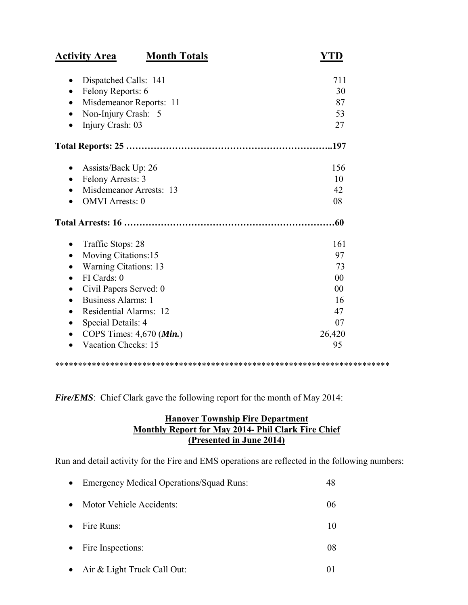| <b>Activity Area</b>                             | <b>Month Totals</b> |                |
|--------------------------------------------------|---------------------|----------------|
| Dispatched Calls: 141<br>$\bullet$               |                     | 711            |
| Felony Reports: 6<br>$\bullet$                   |                     | 30             |
| Misdemeanor Reports: 11                          |                     | 87             |
| Non-Injury Crash: 5<br>$\bullet$                 |                     | 53             |
| Injury Crash: 03                                 |                     | 27             |
|                                                  |                     |                |
| Assists/Back Up: 26                              |                     | 156            |
| Felony Arrests: 3<br>$\bullet$                   |                     | 10             |
| Misdemeanor Arrests: 13                          |                     | 42             |
| <b>OMVI</b> Arrests: 0                           |                     | 08             |
|                                                  |                     | .60            |
| Traffic Stops: 28<br>$\bullet$                   |                     | 161            |
| Moving Citations:15<br>$\bullet$                 |                     | 97             |
| <b>Warning Citations: 13</b>                     |                     | 73             |
| FI Cards: 0<br>$\bullet$                         |                     | 0 <sub>0</sub> |
| Civil Papers Served: 0<br>$\bullet$              |                     | 0 <sub>0</sub> |
| <b>Business Alarms: 1</b><br>$\bullet$           |                     | 16             |
| Residential Alarms: 12                           |                     | 47             |
| Special Details: 4                               |                     | 07             |
| COPS Times: $4,670$ ( <i>Min.</i> )<br>$\bullet$ |                     | 26,420         |
| Vacation Checks: 15                              |                     | 95             |

\*\*\*\*\*\*\*\*\*\*\*\*\*\*\*\*\*\*\*\*\*\*\*\*\*\*\*\*\*\*\*\*\*\*\*\*\*\*\*\*\*\*\*\*\*\*\*\*\*\*\*\*\*\*\*\*\*\*\*\*\*\*\*\*\*\*\*\*\*\*\*\*\*

*Fire/EMS*: Chief Clark gave the following report for the month of May 2014:

# **Hanover Township Fire Department Monthly Report for May 2014- Phil Clark Fire Chief (Presented in June 2014)**

Run and detail activity for the Fire and EMS operations are reflected in the following numbers:

| $\bullet$ | <b>Emergency Medical Operations/Squad Runs:</b> | 48 |
|-----------|-------------------------------------------------|----|
| $\bullet$ | Motor Vehicle Accidents:                        | 06 |
| $\bullet$ | Fire Runs:                                      | 10 |
| $\bullet$ | Fire Inspections:                               | 08 |
| $\bullet$ | Air & Light Truck Call Out:                     |    |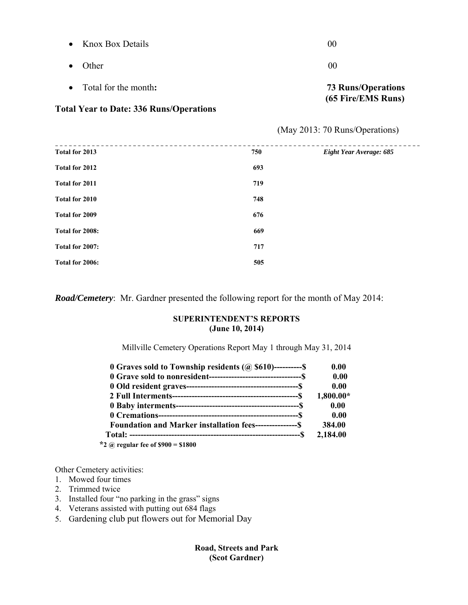| • Total for the month: | <b>73 Runs/Operations</b><br>(65 Fire/EMS Runs) |
|------------------------|-------------------------------------------------|
| $\bullet$ Other        | 00                                              |
| • Knox Box Details     | 00                                              |

#### **Total Year to Date: 336 Runs/Operations**

(May 2013: 70 Runs/Operations)

| 750 | Eight Year Average: 685 |
|-----|-------------------------|
| 693 |                         |
| 719 |                         |
| 748 |                         |
| 676 |                         |
| 669 |                         |
| 717 |                         |
| 505 |                         |
|     |                         |

*Road/Cemetery*: Mr. Gardner presented the following report for the month of May 2014:

#### **SUPERINTENDENT'S REPORTS (June 10, 2014)**

Millville Cemetery Operations Report May 1 through May 31, 2014

| 0 Graves sold to Township residents $(a)$ \$610)----------\$    | 0.00        |
|-----------------------------------------------------------------|-------------|
|                                                                 | 0.00        |
|                                                                 | 0.00        |
|                                                                 | $1,800.00*$ |
|                                                                 | 0.00        |
|                                                                 | 0.00        |
| <b>Foundation and Marker installation fees----------------S</b> | 384.00      |
|                                                                 | 2,184.00    |
| *2 @ regular fee of $$900 = $1800$                              |             |

Other Cemetery activities:

- 1. Mowed four times
- 2. Trimmed twice
- 3. Installed four "no parking in the grass" signs
- 4. Veterans assisted with putting out 684 flags
- 5. Gardening club put flowers out for Memorial Day

#### **Road, Streets and Park (Scot Gardner)**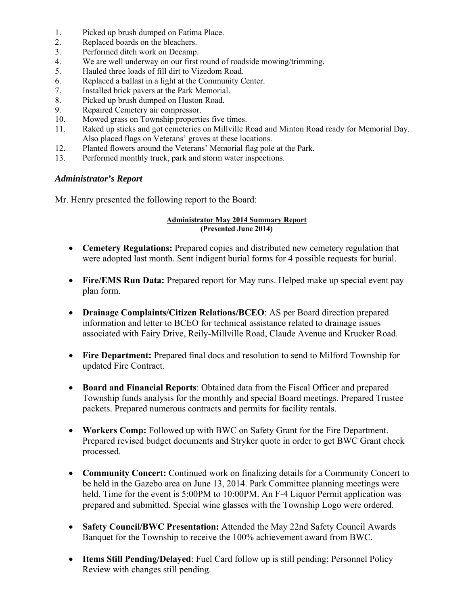- 1. Picked up brush dumped on Fatima Place.
- 2. Replaced boards on the bleachers.
- 3. Performed ditch work on Decamp.
- 4. We are well underway on our first round of roadside mowing/trimming.
- 5. Hauled three loads of fill dirt to Vizedom Road.
- 6. Replaced a ballast in a light at the Community Center.
- 7. Installed brick pavers at the Park Memorial.
- 8. Picked up brush dumped on Huston Road.
- 9. Repaired Cemetery air compressor.
- 10. Mowed grass on Township properties five times.
- 11. Raked up sticks and got cemeteries on Millville Road and Minton Road ready for Memorial Day. Also placed flags on Veterans' graves at these locations.
- 12. Planted flowers around the Veterans' Memorial flag pole at the Park.
- 13. Performed monthly truck, park and storm water inspections.

#### *Administrator's Report*

Mr. Henry presented the following report to the Board:

#### **Administrator May 2014 Summary Report (Presented June 2014)**

- **Cemetery Regulations:** Prepared copies and distributed new cemetery regulation that were adopted last month. Sent indigent burial forms for 4 possible requests for burial.
- **Fire/EMS Run Data:** Prepared report for May runs. Helped make up special event pay plan form.
- **Drainage Complaints/Citizen Relations/BCEO**: AS per Board direction prepared information and letter to BCEO for technical assistance related to drainage issues associated with Fairy Drive, Reily-Millville Road, Claude Avenue and Krucker Road.
- **Fire Department:** Prepared final docs and resolution to send to Milford Township for updated Fire Contract.
- **Board and Financial Reports**: Obtained data from the Fiscal Officer and prepared Township funds analysis for the monthly and special Board meetings. Prepared Trustee packets. Prepared numerous contracts and permits for facility rentals.
- **Workers Comp:** Followed up with BWC on Safety Grant for the Fire Department. Prepared revised budget documents and Stryker quote in order to get BWC Grant check processed.
- **Community Concert:** Continued work on finalizing details for a Community Concert to be held in the Gazebo area on June 13, 2014. Park Committee planning meetings were held. Time for the event is 5:00PM to 10:00PM. An F-4 Liquor Permit application was prepared and submitted. Special wine glasses with the Township Logo were ordered.
- **Safety Council/BWC Presentation:** Attended the May 22nd Safety Council Awards Banquet for the Township to receive the 100% achievement award from BWC.
- **Items Still Pending/Delayed**: Fuel Card follow up is still pending; Personnel Policy Review with changes still pending.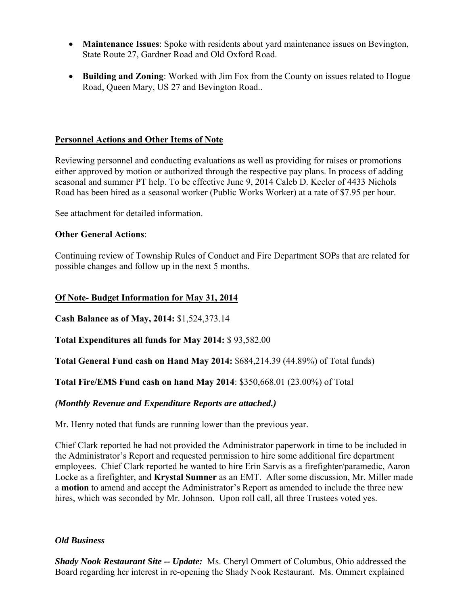- **Maintenance Issues**: Spoke with residents about yard maintenance issues on Bevington, State Route 27, Gardner Road and Old Oxford Road.
- **Building and Zoning**: Worked with Jim Fox from the County on issues related to Hogue Road, Queen Mary, US 27 and Bevington Road..

## **Personnel Actions and Other Items of Note**

Reviewing personnel and conducting evaluations as well as providing for raises or promotions either approved by motion or authorized through the respective pay plans. In process of adding seasonal and summer PT help. To be effective June 9, 2014 Caleb D. Keeler of 4433 Nichols Road has been hired as a seasonal worker (Public Works Worker) at a rate of \$7.95 per hour.

See attachment for detailed information.

## **Other General Actions**:

Continuing review of Township Rules of Conduct and Fire Department SOPs that are related for possible changes and follow up in the next 5 months.

## **Of Note- Budget Information for May 31, 2014**

**Cash Balance as of May, 2014:** \$1,524,373.14

**Total Expenditures all funds for May 2014:** \$ 93,582.00

**Total General Fund cash on Hand May 2014:** \$684,214.39 (44.89%) of Total funds)

**Total Fire/EMS Fund cash on hand May 2014**: \$350,668.01 (23.00%) of Total

#### *(Monthly Revenue and Expenditure Reports are attached.)*

Mr. Henry noted that funds are running lower than the previous year.

Chief Clark reported he had not provided the Administrator paperwork in time to be included in the Administrator's Report and requested permission to hire some additional fire department employees. Chief Clark reported he wanted to hire Erin Sarvis as a firefighter/paramedic, Aaron Locke as a firefighter, and **Krystal Sumner** as an EMT. After some discussion, Mr. Miller made a **motion** to amend and accept the Administrator's Report as amended to include the three new hires, which was seconded by Mr. Johnson. Upon roll call, all three Trustees voted yes.

#### *Old Business*

*Shady Nook Restaurant Site -- Update:* Ms. Cheryl Ommert of Columbus, Ohio addressed the Board regarding her interest in re-opening the Shady Nook Restaurant. Ms. Ommert explained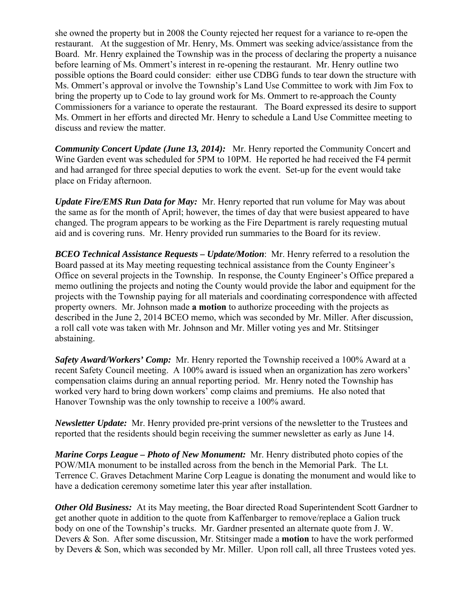she owned the property but in 2008 the County rejected her request for a variance to re-open the restaurant. At the suggestion of Mr. Henry, Ms. Ommert was seeking advice/assistance from the Board. Mr. Henry explained the Township was in the process of declaring the property a nuisance before learning of Ms. Ommert's interest in re-opening the restaurant. Mr. Henry outline two possible options the Board could consider: either use CDBG funds to tear down the structure with Ms. Ommert's approval or involve the Township's Land Use Committee to work with Jim Fox to bring the property up to Code to lay ground work for Ms. Ommert to re-approach the County Commissioners for a variance to operate the restaurant. The Board expressed its desire to support Ms. Ommert in her efforts and directed Mr. Henry to schedule a Land Use Committee meeting to discuss and review the matter.

*Community Concert Update (June 13, 2014):* Mr. Henry reported the Community Concert and Wine Garden event was scheduled for 5PM to 10PM. He reported he had received the F4 permit and had arranged for three special deputies to work the event. Set-up for the event would take place on Friday afternoon.

*Update Fire/EMS Run Data for May:* Mr. Henry reported that run volume for May was about the same as for the month of April; however, the times of day that were busiest appeared to have changed. The program appears to be working as the Fire Department is rarely requesting mutual aid and is covering runs. Mr. Henry provided run summaries to the Board for its review.

*BCEO Technical Assistance Requests – Update/Motion*: Mr. Henry referred to a resolution the Board passed at its May meeting requesting technical assistance from the County Engineer's Office on several projects in the Township. In response, the County Engineer's Office prepared a memo outlining the projects and noting the County would provide the labor and equipment for the projects with the Township paying for all materials and coordinating correspondence with affected property owners. Mr. Johnson made **a motion** to authorize proceeding with the projects as described in the June 2, 2014 BCEO memo, which was seconded by Mr. Miller. After discussion, a roll call vote was taken with Mr. Johnson and Mr. Miller voting yes and Mr. Stitsinger abstaining.

*Safety Award/Workers' Comp:* Mr. Henry reported the Township received a 100% Award at a recent Safety Council meeting. A 100% award is issued when an organization has zero workers' compensation claims during an annual reporting period. Mr. Henry noted the Township has worked very hard to bring down workers' comp claims and premiums. He also noted that Hanover Township was the only township to receive a 100% award.

*Newsletter Update:* Mr. Henry provided pre-print versions of the newsletter to the Trustees and reported that the residents should begin receiving the summer newsletter as early as June 14.

*Marine Corps League – Photo of New Monument:* Mr. Henry distributed photo copies of the POW/MIA monument to be installed across from the bench in the Memorial Park. The Lt. Terrence C. Graves Detachment Marine Corp League is donating the monument and would like to have a dedication ceremony sometime later this year after installation.

*Other Old Business:* At its May meeting, the Boar directed Road Superintendent Scott Gardner to get another quote in addition to the quote from Kaffenbarger to remove/replace a Galion truck body on one of the Township's trucks. Mr. Gardner presented an alternate quote from J. W. Devers & Son. After some discussion, Mr. Stitsinger made a **motion** to have the work performed by Devers & Son, which was seconded by Mr. Miller. Upon roll call, all three Trustees voted yes.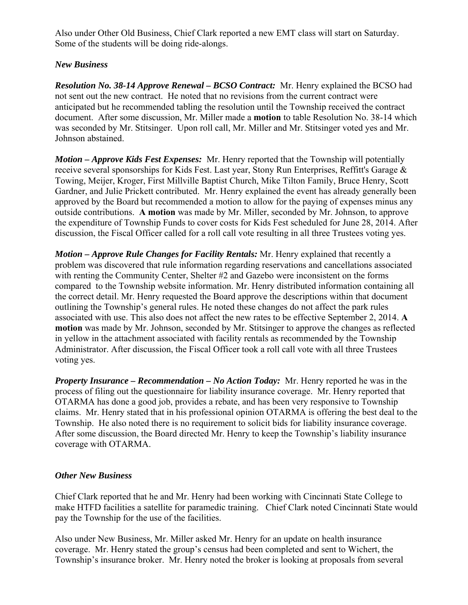Also under Other Old Business, Chief Clark reported a new EMT class will start on Saturday. Some of the students will be doing ride-alongs.

# *New Business*

*Resolution No. 38-14 Approve Renewal – BCSO Contract:* Mr. Henry explained the BCSO had not sent out the new contract. He noted that no revisions from the current contract were anticipated but he recommended tabling the resolution until the Township received the contract document. After some discussion, Mr. Miller made a **motion** to table Resolution No. 38-14 which was seconded by Mr. Stitsinger. Upon roll call, Mr. Miller and Mr. Stitsinger voted yes and Mr. Johnson abstained.

*Motion – Approve Kids Fest Expenses:* Mr. Henry reported that the Township will potentially receive several sponsorships for Kids Fest. Last year, Stony Run Enterprises, Reffitt's Garage & Towing, Meijer, Kroger, First Millville Baptist Church, Mike Tilton Family, Bruce Henry, Scott Gardner, and Julie Prickett contributed. Mr. Henry explained the event has already generally been approved by the Board but recommended a motion to allow for the paying of expenses minus any outside contributions. **A motion** was made by Mr. Miller, seconded by Mr. Johnson, to approve the expenditure of Township Funds to cover costs for Kids Fest scheduled for June 28, 2014. After discussion, the Fiscal Officer called for a roll call vote resulting in all three Trustees voting yes.

*Motion – Approve Rule Changes for Facility Rentals:* Mr. Henry explained that recently a problem was discovered that rule information regarding reservations and cancellations associated with renting the Community Center, Shelter #2 and Gazebo were inconsistent on the forms compared to the Township website information. Mr. Henry distributed information containing all the correct detail. Mr. Henry requested the Board approve the descriptions within that document outlining the Township's general rules. He noted these changes do not affect the park rules associated with use. This also does not affect the new rates to be effective September 2, 2014. **A motion** was made by Mr. Johnson, seconded by Mr. Stitsinger to approve the changes as reflected in yellow in the attachment associated with facility rentals as recommended by the Township Administrator. After discussion, the Fiscal Officer took a roll call vote with all three Trustees voting yes.

*Property Insurance – Recommendation – No Action Today:* Mr. Henry reported he was in the process of filing out the questionnaire for liability insurance coverage. Mr. Henry reported that OTARMA has done a good job, provides a rebate, and has been very responsive to Township claims. Mr. Henry stated that in his professional opinion OTARMA is offering the best deal to the Township. He also noted there is no requirement to solicit bids for liability insurance coverage. After some discussion, the Board directed Mr. Henry to keep the Township's liability insurance coverage with OTARMA.

# *Other New Business*

Chief Clark reported that he and Mr. Henry had been working with Cincinnati State College to make HTFD facilities a satellite for paramedic training. Chief Clark noted Cincinnati State would pay the Township for the use of the facilities.

Also under New Business, Mr. Miller asked Mr. Henry for an update on health insurance coverage. Mr. Henry stated the group's census had been completed and sent to Wichert, the Township's insurance broker. Mr. Henry noted the broker is looking at proposals from several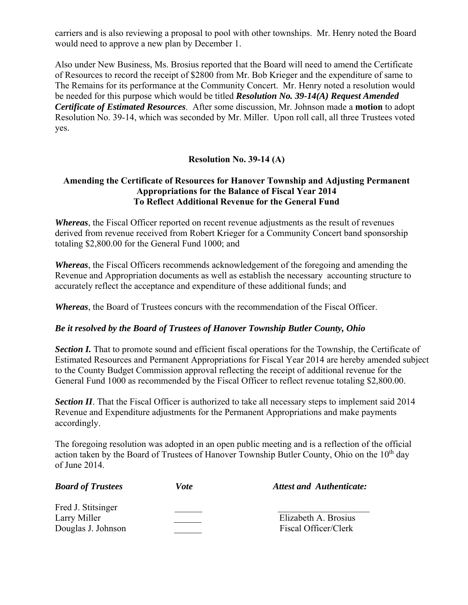carriers and is also reviewing a proposal to pool with other townships. Mr. Henry noted the Board would need to approve a new plan by December 1.

Also under New Business, Ms. Brosius reported that the Board will need to amend the Certificate of Resources to record the receipt of \$2800 from Mr. Bob Krieger and the expenditure of same to The Remains for its performance at the Community Concert. Mr. Henry noted a resolution would be needed for this purpose which would be titled *Resolution No. 39-14(A) Request Amended Certificate of Estimated Resources*. After some discussion, Mr. Johnson made a **motion** to adopt Resolution No. 39-14, which was seconded by Mr. Miller. Upon roll call, all three Trustees voted yes.

## **Resolution No. 39-14 (A)**

## **Amending the Certificate of Resources for Hanover Township and Adjusting Permanent Appropriations for the Balance of Fiscal Year 2014 To Reflect Additional Revenue for the General Fund**

*Whereas*, the Fiscal Officer reported on recent revenue adjustments as the result of revenues derived from revenue received from Robert Krieger for a Community Concert band sponsorship totaling \$2,800.00 for the General Fund 1000; and

*Whereas*, the Fiscal Officers recommends acknowledgement of the foregoing and amending the Revenue and Appropriation documents as well as establish the necessary accounting structure to accurately reflect the acceptance and expenditure of these additional funds; and

*Whereas*, the Board of Trustees concurs with the recommendation of the Fiscal Officer.

#### *Be it resolved by the Board of Trustees of Hanover Township Butler County, Ohio*

**Section I.** That to promote sound and efficient fiscal operations for the Township, the Certificate of Estimated Resources and Permanent Appropriations for Fiscal Year 2014 are hereby amended subject to the County Budget Commission approval reflecting the receipt of additional revenue for the General Fund 1000 as recommended by the Fiscal Officer to reflect revenue totaling \$2,800.00.

*Section II*. That the Fiscal Officer is authorized to take all necessary steps to implement said 2014 Revenue and Expenditure adjustments for the Permanent Appropriations and make payments accordingly.

The foregoing resolution was adopted in an open public meeting and is a reflection of the official action taken by the Board of Trustees of Hanover Township Butler County, Ohio on the  $10<sup>th</sup>$  day of June 2014.

| <b>Board of Trustees</b> | Vote | <b>Attest and Authenticate:</b> |
|--------------------------|------|---------------------------------|
| Fred J. Stitsinger       |      |                                 |
| Larry Miller             |      | Elizabeth A. Brosius            |
| Douglas J. Johnson       |      | Fiscal Officer/Clerk            |